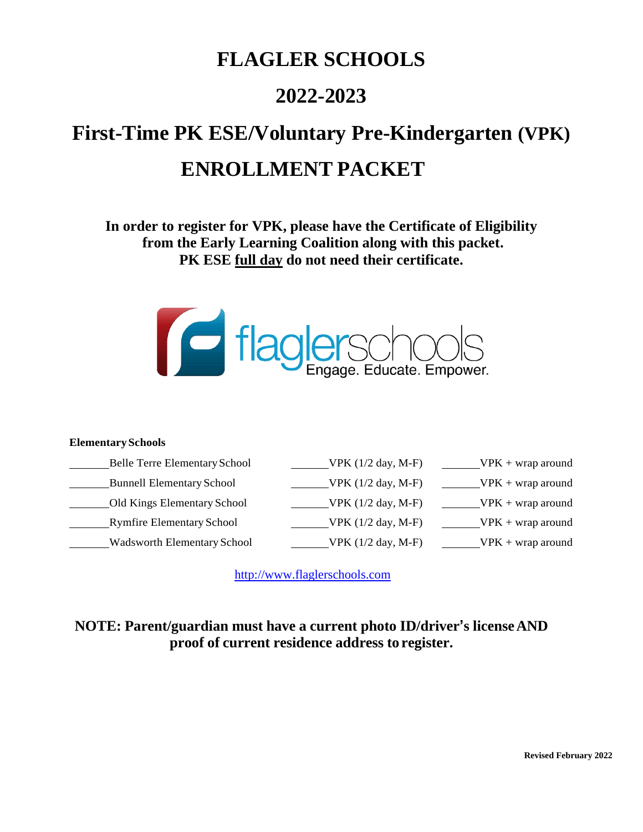# **FLAGLER SCHOOLS**

# **2022-2023**

# **First-Time PK ESE/Voluntary Pre-Kindergarten (VPK) ENROLLMENT PACKET**

**In order to register for VPK, please have the Certificate of Eligibility from the Early Learning Coalition along with this packet. PK ESE full day do not need their certificate.**



#### **ElementarySchools**

| <b>Belle Terre Elementary School</b> | VPK $(1/2$ day, M-F) | $VPK + wrap around$ |
|--------------------------------------|----------------------|---------------------|
| <b>Bunnell Elementary School</b>     | VPK $(1/2$ day, M-F) | $VPK + wrap around$ |
| Old Kings Elementary School          | VPK $(1/2$ day, M-F) | $VPK + wrap around$ |
| <b>Rymfire Elementary School</b>     | VPK $(1/2$ day, M-F) | $VPK + wrap around$ |
| <b>Wadsworth Elementary School</b>   | VPK (1/2 day, M-F)   | $VPK + wrap around$ |

[http://www.flaglerschools.com](http://www.flaglerschools.com/)

### **NOTE: Parent/guardian must have a current photo ID/driver's licenseAND proof of current residence address to register.**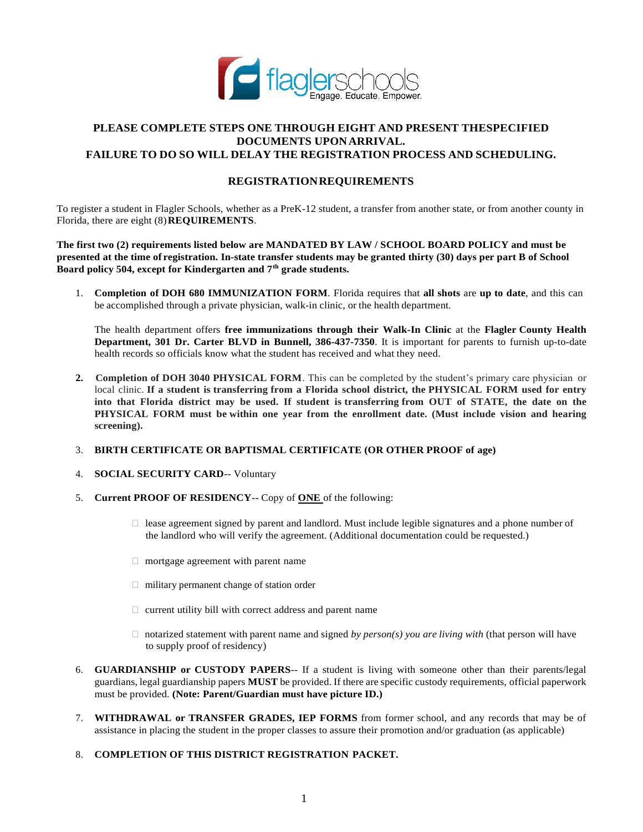

#### **PLEASE COMPLETE STEPS ONE THROUGH EIGHT AND PRESENT THESPECIFIED DOCUMENTS UPONARRIVAL. FAILURE TO DO SO WILL DELAY THE REGISTRATION PROCESS AND SCHEDULING.**

#### **REGISTRATIONREQUIREMENTS**

To register a student in Flagler Schools, whether as a PreK-12 student, a transfer from another state, or from another county in Florida, there are eight (8)**REQUIREMENTS**.

**The first two (2) requirements listed below are MANDATED BY LAW / SCHOOL BOARD POLICY and must be presented at the time of registration. In-state transfer students may be granted thirty (30) days per part B of School Board policy 504, except for Kindergarten and 7th grade students.** 

1. **Completion of DOH 680 IMMUNIZATION FORM**. Florida requires that **all shots** are **up to date**, and this can be accomplished through a private physician, walk-in clinic, or the health department.

The health department offers **free immunizations through their Walk-In Clinic** at the **Flagler County Health Department, 301 Dr. Carter BLVD in Bunnell, 386-437-7350**. It is important for parents to furnish up-to-date health records so officials know what the student has received and what they need.

- **2. Completion of DOH 3040 PHYSICAL FORM**. This can be completed by the student's primary care physician or local clinic. **If a student is transferring from a Florida school district, the PHYSICAL FORM used for entry** into that Florida district may be used. If student is transferring from OUT of STATE, the date on the **PHYSICAL FORM must be within one year from the enrollment date. (Must include vision and hearing screening).**
- 3. **BIRTH CERTIFICATE OR BAPTISMAL CERTIFICATE (OR OTHER PROOF of age)**
- 4. **SOCIAL SECURITY CARD**-- Voluntary
- 5. **Current PROOF OF RESIDENCY**-- Copy of **ONE** of the following:
	- $\Box$  lease agreement signed by parent and landlord. Must include legible signatures and a phone number of the landlord who will verify the agreement. (Additional documentation could be requested.)
	- $\Box$  mortgage agreement with parent name
	- $\Box$  military permanent change of station order
	- $\Box$  current utility bill with correct address and parent name
	- $\Box$  notarized statement with parent name and signed *by person(s) you are living with* (that person will have to supply proof of residency)
- 6. **GUARDIANSHIP or CUSTODY PAPERS**-- If a student is living with someone other than their parents/legal guardians, legal guardianship papers **MUST** be provided. If there are specific custody requirements, official paperwork must be provided. **(Note: Parent/Guardian must have picture ID.)**
- 7. **WITHDRAWAL or TRANSFER GRADES, IEP FORMS** from former school, and any records that may be of assistance in placing the student in the proper classes to assure their promotion and/or graduation (as applicable)
- 8. **COMPLETION OF THIS DISTRICT REGISTRATION PACKET.**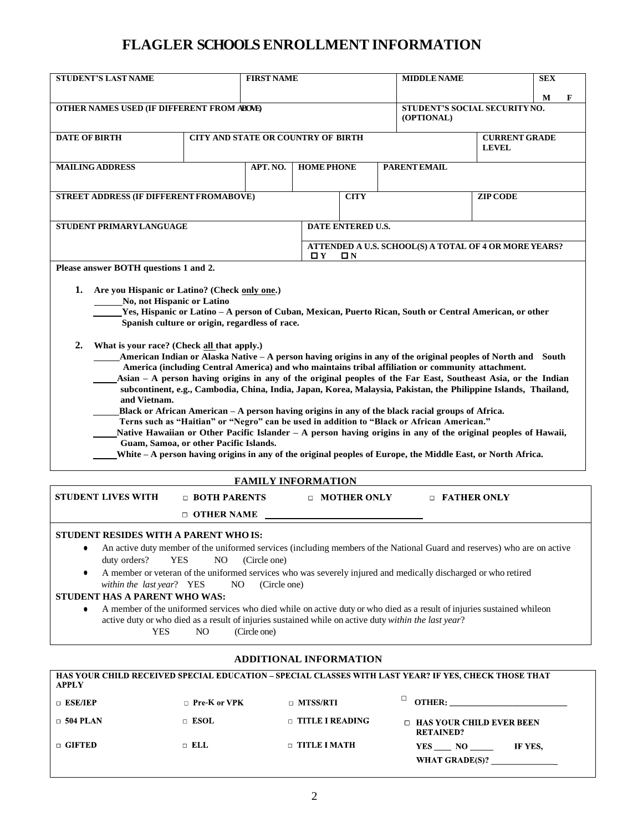### **FLAGLER SCHOOLSENROLLMENT INFORMATION**

| М<br>OTHER NAMES USED (IF DIFFERENT FROM ABOVE)<br>STUDENT'S SOCIAL SECURITY NO.<br>(OPTIONAL)<br><b>DATE OF BIRTH</b><br>CITY AND STATE OR COUNTRY OF BIRTH<br><b>CURRENT GRADE</b><br><b>LEVEL</b><br>APT. NO.<br><b>HOME PHONE</b><br>PARENT EMAIL<br><b>MAILING ADDRESS</b><br>STREET ADDRESS (IF DIFFERENT FROMABOVE)<br><b>CITY</b><br><b>ZIP CODE</b><br>STUDENT PRIMARYLANGUAGE<br>DATE ENTERED U.S.<br>ATTENDED A U.S. SCHOOL(S) A TOTAL OF 4 OR MORE YEARS?<br>$\mathbf{p}$ $\mathbf{v}$<br>OΝ<br>Please answer BOTH questions 1 and 2.<br>1.<br>Are you Hispanic or Latino? (Check only one.)<br>No, not Hispanic or Latino<br>Yes, Hispanic or Latino - A person of Cuban, Mexican, Puerto Rican, South or Central American, or other<br>Spanish culture or origin, regardless of race.<br>2.<br>What is your race? (Check all that apply.)<br>American Indian or Alaska Native - A person having origins in any of the original peoples of North and South<br>America (including Central America) and who maintains tribal affiliation or community attachment.<br>Asian - A person having origins in any of the original peoples of the Far East, Southeast Asia, or the Indian<br>subcontinent, e.g., Cambodia, China, India, Japan, Korea, Malaysia, Pakistan, the Philippine Islands, Thailand,<br>and Vietnam.<br>Black or African American - A person having origins in any of the black racial groups of Africa.<br>Terns such as "Haitian" or "Negro" can be used in addition to "Black or African American."<br>Native Hawaiian or Other Pacific Islander - A person having origins in any of the original peoples of Hawaii,<br>Guam, Samoa, or other Pacific Islands.<br>White - A person having origins in any of the original peoples of Europe, the Middle East, or North Africa.<br><b>FAMILY INFORMATION</b><br><b>STUDENT LIVES WITH</b><br>□ BOTH PARENTS<br><b>D</b> FATHER ONLY<br>$\Box$ MOTHER ONLY<br>$\Box$ OTHER NAME<br>STUDENT RESIDES WITH A PARENT WHO IS:<br>An active duty member of the uniformed services (including members of the National Guard and reserves) who are on active<br>٠<br>duty orders?<br><b>YES</b><br>N <sub>O</sub><br>(Circle one)<br>A member or veteran of the uniformed services who was severely injured and medically discharged or who retired<br>٠<br>within the last year? YES<br>(Circle one)<br>NO.<br>STUDENT HAS A PARENT WHO WAS: | <b>STUDENT'S LAST NAME</b> | <b>FIRST NAME</b> |  |  | <b>MIDDLE NAME</b> |   |  |  |
|-------------------------------------------------------------------------------------------------------------------------------------------------------------------------------------------------------------------------------------------------------------------------------------------------------------------------------------------------------------------------------------------------------------------------------------------------------------------------------------------------------------------------------------------------------------------------------------------------------------------------------------------------------------------------------------------------------------------------------------------------------------------------------------------------------------------------------------------------------------------------------------------------------------------------------------------------------------------------------------------------------------------------------------------------------------------------------------------------------------------------------------------------------------------------------------------------------------------------------------------------------------------------------------------------------------------------------------------------------------------------------------------------------------------------------------------------------------------------------------------------------------------------------------------------------------------------------------------------------------------------------------------------------------------------------------------------------------------------------------------------------------------------------------------------------------------------------------------------------------------------------------------------------------------------------------------------------------------------------------------------------------------------------------------------------------------------------------------------------------------------------------------------------------------------------------------------------------------------------------------------------------------------------------------------------------------------------------------------------------------------------------------------------------------|----------------------------|-------------------|--|--|--------------------|---|--|--|
|                                                                                                                                                                                                                                                                                                                                                                                                                                                                                                                                                                                                                                                                                                                                                                                                                                                                                                                                                                                                                                                                                                                                                                                                                                                                                                                                                                                                                                                                                                                                                                                                                                                                                                                                                                                                                                                                                                                                                                                                                                                                                                                                                                                                                                                                                                                                                                                                                   |                            |                   |  |  |                    | F |  |  |
|                                                                                                                                                                                                                                                                                                                                                                                                                                                                                                                                                                                                                                                                                                                                                                                                                                                                                                                                                                                                                                                                                                                                                                                                                                                                                                                                                                                                                                                                                                                                                                                                                                                                                                                                                                                                                                                                                                                                                                                                                                                                                                                                                                                                                                                                                                                                                                                                                   |                            |                   |  |  |                    |   |  |  |
|                                                                                                                                                                                                                                                                                                                                                                                                                                                                                                                                                                                                                                                                                                                                                                                                                                                                                                                                                                                                                                                                                                                                                                                                                                                                                                                                                                                                                                                                                                                                                                                                                                                                                                                                                                                                                                                                                                                                                                                                                                                                                                                                                                                                                                                                                                                                                                                                                   |                            |                   |  |  |                    |   |  |  |
|                                                                                                                                                                                                                                                                                                                                                                                                                                                                                                                                                                                                                                                                                                                                                                                                                                                                                                                                                                                                                                                                                                                                                                                                                                                                                                                                                                                                                                                                                                                                                                                                                                                                                                                                                                                                                                                                                                                                                                                                                                                                                                                                                                                                                                                                                                                                                                                                                   |                            |                   |  |  |                    |   |  |  |
|                                                                                                                                                                                                                                                                                                                                                                                                                                                                                                                                                                                                                                                                                                                                                                                                                                                                                                                                                                                                                                                                                                                                                                                                                                                                                                                                                                                                                                                                                                                                                                                                                                                                                                                                                                                                                                                                                                                                                                                                                                                                                                                                                                                                                                                                                                                                                                                                                   |                            |                   |  |  |                    |   |  |  |
|                                                                                                                                                                                                                                                                                                                                                                                                                                                                                                                                                                                                                                                                                                                                                                                                                                                                                                                                                                                                                                                                                                                                                                                                                                                                                                                                                                                                                                                                                                                                                                                                                                                                                                                                                                                                                                                                                                                                                                                                                                                                                                                                                                                                                                                                                                                                                                                                                   |                            |                   |  |  |                    |   |  |  |
|                                                                                                                                                                                                                                                                                                                                                                                                                                                                                                                                                                                                                                                                                                                                                                                                                                                                                                                                                                                                                                                                                                                                                                                                                                                                                                                                                                                                                                                                                                                                                                                                                                                                                                                                                                                                                                                                                                                                                                                                                                                                                                                                                                                                                                                                                                                                                                                                                   |                            |                   |  |  |                    |   |  |  |
|                                                                                                                                                                                                                                                                                                                                                                                                                                                                                                                                                                                                                                                                                                                                                                                                                                                                                                                                                                                                                                                                                                                                                                                                                                                                                                                                                                                                                                                                                                                                                                                                                                                                                                                                                                                                                                                                                                                                                                                                                                                                                                                                                                                                                                                                                                                                                                                                                   |                            |                   |  |  |                    |   |  |  |
|                                                                                                                                                                                                                                                                                                                                                                                                                                                                                                                                                                                                                                                                                                                                                                                                                                                                                                                                                                                                                                                                                                                                                                                                                                                                                                                                                                                                                                                                                                                                                                                                                                                                                                                                                                                                                                                                                                                                                                                                                                                                                                                                                                                                                                                                                                                                                                                                                   |                            |                   |  |  |                    |   |  |  |
|                                                                                                                                                                                                                                                                                                                                                                                                                                                                                                                                                                                                                                                                                                                                                                                                                                                                                                                                                                                                                                                                                                                                                                                                                                                                                                                                                                                                                                                                                                                                                                                                                                                                                                                                                                                                                                                                                                                                                                                                                                                                                                                                                                                                                                                                                                                                                                                                                   |                            |                   |  |  |                    |   |  |  |
|                                                                                                                                                                                                                                                                                                                                                                                                                                                                                                                                                                                                                                                                                                                                                                                                                                                                                                                                                                                                                                                                                                                                                                                                                                                                                                                                                                                                                                                                                                                                                                                                                                                                                                                                                                                                                                                                                                                                                                                                                                                                                                                                                                                                                                                                                                                                                                                                                   |                            |                   |  |  |                    |   |  |  |
| A member of the uniformed services who died while on active duty or who died as a result of injuries sustained whileon<br>٠                                                                                                                                                                                                                                                                                                                                                                                                                                                                                                                                                                                                                                                                                                                                                                                                                                                                                                                                                                                                                                                                                                                                                                                                                                                                                                                                                                                                                                                                                                                                                                                                                                                                                                                                                                                                                                                                                                                                                                                                                                                                                                                                                                                                                                                                                       |                            |                   |  |  |                    |   |  |  |

**YES** NO (Circle one)

#### **ADDITIONAL INFORMATION**

| <b>APPLY</b>    |                     |                        | HAS YOUR CHILD RECEIVED SPECIAL EDUCATION – SPECIAL CLASSES WITH LAST YEAR? IF YES, CHECK THOSE THAT |
|-----------------|---------------------|------------------------|------------------------------------------------------------------------------------------------------|
| ESE/IEP         | $\Box$ Pre-K or VPK | $\Box$ MTSS/RTI        | <b>OTHER:</b>                                                                                        |
| $\Box$ 504 PLAN | $\Box$ ESOL         | $\Box$ TITLE I READING | $\Box$ HAS YOUR CHILD EVER BEEN<br><b>RETAINED?</b>                                                  |
| <b>GIFTED</b>   | $\Box$ ELL          | $\Box$ TITLE I MATH    | YES NO<br>IF YES.<br>WHAT GRADE(S)?                                                                  |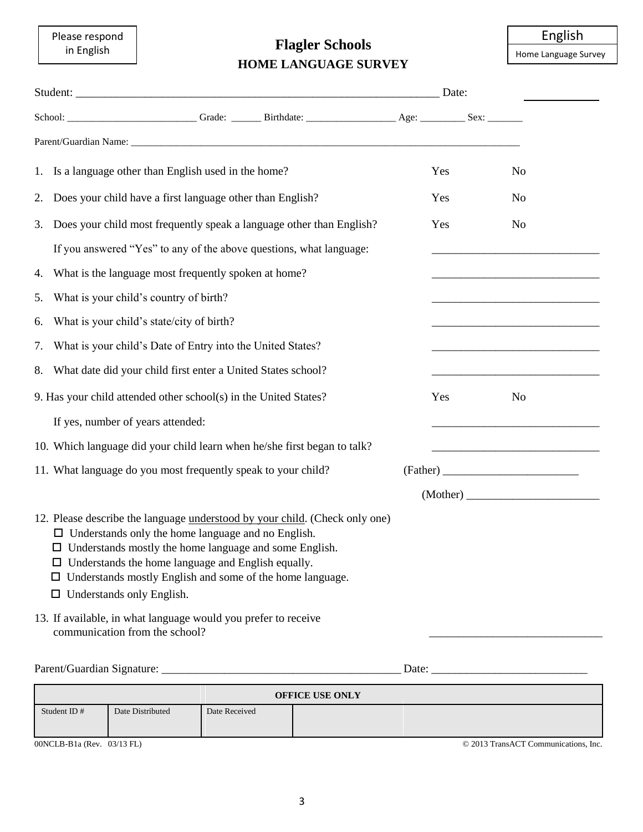Please respond in English

### **Flagler Schools HOME LANGUAGE SURVEY**

English

Home Language Survey

|    |                                                                                                                                                                                                                                                                                                                                                                              |                                | Date: |                |
|----|------------------------------------------------------------------------------------------------------------------------------------------------------------------------------------------------------------------------------------------------------------------------------------------------------------------------------------------------------------------------------|--------------------------------|-------|----------------|
|    |                                                                                                                                                                                                                                                                                                                                                                              |                                |       |                |
|    |                                                                                                                                                                                                                                                                                                                                                                              |                                |       |                |
|    | 1. Is a language other than English used in the home?                                                                                                                                                                                                                                                                                                                        |                                | Yes   | N <sub>o</sub> |
| 2. | Does your child have a first language other than English?                                                                                                                                                                                                                                                                                                                    |                                | Yes   | N <sub>o</sub> |
| 3. | Does your child most frequently speak a language other than English?                                                                                                                                                                                                                                                                                                         |                                | Yes   | N <sub>o</sub> |
|    | If you answered "Yes" to any of the above questions, what language:                                                                                                                                                                                                                                                                                                          |                                |       |                |
| 4. | What is the language most frequently spoken at home?                                                                                                                                                                                                                                                                                                                         |                                |       |                |
| 5. | What is your child's country of birth?                                                                                                                                                                                                                                                                                                                                       |                                |       |                |
| 6. | What is your child's state/city of birth?                                                                                                                                                                                                                                                                                                                                    |                                |       |                |
| 7. | What is your child's Date of Entry into the United States?                                                                                                                                                                                                                                                                                                                   |                                |       |                |
| 8. | What date did your child first enter a United States school?                                                                                                                                                                                                                                                                                                                 |                                |       |                |
|    | 9. Has your child attended other school(s) in the United States?                                                                                                                                                                                                                                                                                                             |                                | Yes   | N <sub>o</sub> |
|    | If yes, number of years attended:                                                                                                                                                                                                                                                                                                                                            |                                |       |                |
|    | 10. Which language did your child learn when he/she first began to talk?                                                                                                                                                                                                                                                                                                     |                                |       |                |
|    | 11. What language do you most frequently speak to your child?                                                                                                                                                                                                                                                                                                                |                                |       |                |
|    |                                                                                                                                                                                                                                                                                                                                                                              |                                |       |                |
|    | 12. Please describe the language understood by your child. (Check only one)<br>$\Box$ Understands only the home language and no English.<br>$\Box$ Understands mostly the home language and some English.<br>$\Box$ Understands the home language and English equally.<br>Understands mostly English and some of the home language.<br>ப<br>$\Box$ Understands only English. |                                |       |                |
|    | 13. If available, in what language would you prefer to receive<br>communication from the school?                                                                                                                                                                                                                                                                             |                                |       |                |
|    |                                                                                                                                                                                                                                                                                                                                                                              | Date: $\overline{\phantom{a}}$ |       |                |

| <b>OFFICE USE ONLY</b> |                  |               |  |  |  |
|------------------------|------------------|---------------|--|--|--|
| Student ID#            | Date Distributed | Date Received |  |  |  |

00NCLB-B1a (Rev. 03/13 FL) © 2013 TransACT Communications, Inc.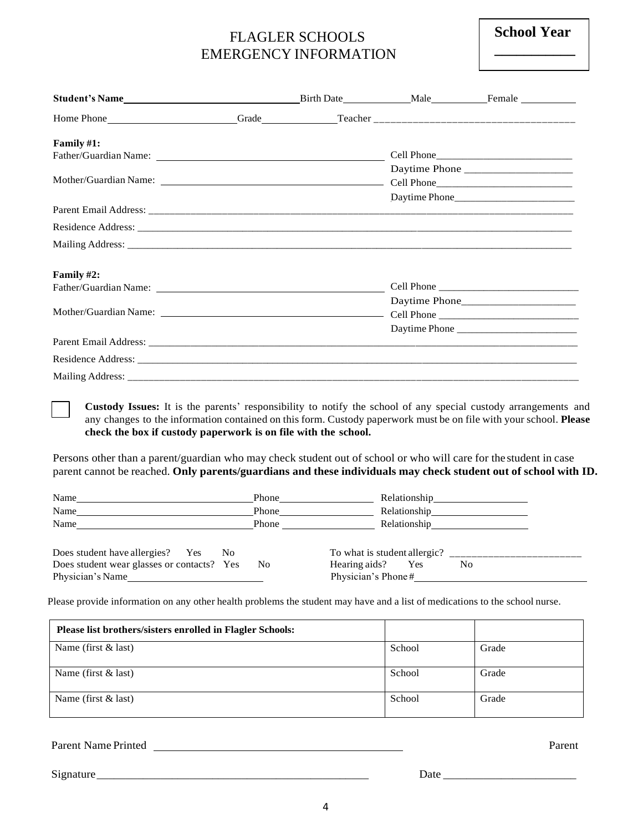### FLAGLER SCHOOLS EMERGENCY INFORMATION

 **School Year \_\_\_\_\_\_\_\_\_\_\_**

| Student's Name                                                                                                                                                                                                                |  |               |
|-------------------------------------------------------------------------------------------------------------------------------------------------------------------------------------------------------------------------------|--|---------------|
|                                                                                                                                                                                                                               |  |               |
| Family $#1$ :                                                                                                                                                                                                                 |  |               |
|                                                                                                                                                                                                                               |  |               |
|                                                                                                                                                                                                                               |  | Daytime Phone |
|                                                                                                                                                                                                                               |  |               |
|                                                                                                                                                                                                                               |  | Daytime Phone |
|                                                                                                                                                                                                                               |  |               |
|                                                                                                                                                                                                                               |  |               |
|                                                                                                                                                                                                                               |  |               |
| Family $#2$ :                                                                                                                                                                                                                 |  |               |
|                                                                                                                                                                                                                               |  |               |
|                                                                                                                                                                                                                               |  |               |
|                                                                                                                                                                                                                               |  |               |
|                                                                                                                                                                                                                               |  | Daytime Phone |
|                                                                                                                                                                                                                               |  |               |
|                                                                                                                                                                                                                               |  |               |
| Mailing Address: the contract of the contract of the contract of the contract of the contract of the contract of the contract of the contract of the contract of the contract of the contract of the contract of the contract |  |               |

**Custody Issues:** It is the parents' responsibility to notify the school of any special custody arrangements and any changes to the information contained on this form. Custody paperwork must be on file with your school. **Please check the box if custody paperwork is on file with the school.**

Persons other than a parent/guardian who may check student out of school or who will care for the student in case parent cannot be reached. **Only parents/guardians and these individuals may check student out of school with ID.**

| Name                                               | Phone | Relationship                                                 |
|----------------------------------------------------|-------|--------------------------------------------------------------|
| Name                                               | Phone | Relationship<br><u> 1989 - Andrea Andrew Maria (b. 1989)</u> |
| Name                                               | Phone | Relationship                                                 |
|                                                    |       |                                                              |
| Does student have allergies? Yes<br>N <sub>0</sub> |       | To what is student allergic? $\frac{1}{\frac{1}{2}}$         |
| Does student wear glasses or contacts? Yes         | No.   | Hearing aids?<br>Yes<br>No                                   |
| Physician's Name                                   |       | Physician's Phone#                                           |

Please provide information on any other health problems the student may have and a list of medications to the school nurse.

| Please list brothers/sisters enrolled in Flagler Schools: |        |       |
|-----------------------------------------------------------|--------|-------|
| Name (first $&$ last)                                     | School | Grade |
| Name (first $&$ last)                                     | School | Grade |
| Name (first $&$ last)                                     | School | Grade |

Parent Name Printed Parent

Signature\_\_\_\_\_\_\_\_\_\_\_\_\_\_\_\_\_\_\_\_\_\_\_\_\_\_\_\_\_\_\_\_\_\_\_\_\_\_\_\_\_\_\_\_\_\_\_ Date \_\_\_\_\_\_\_\_\_\_\_\_\_\_\_\_\_\_\_\_\_\_\_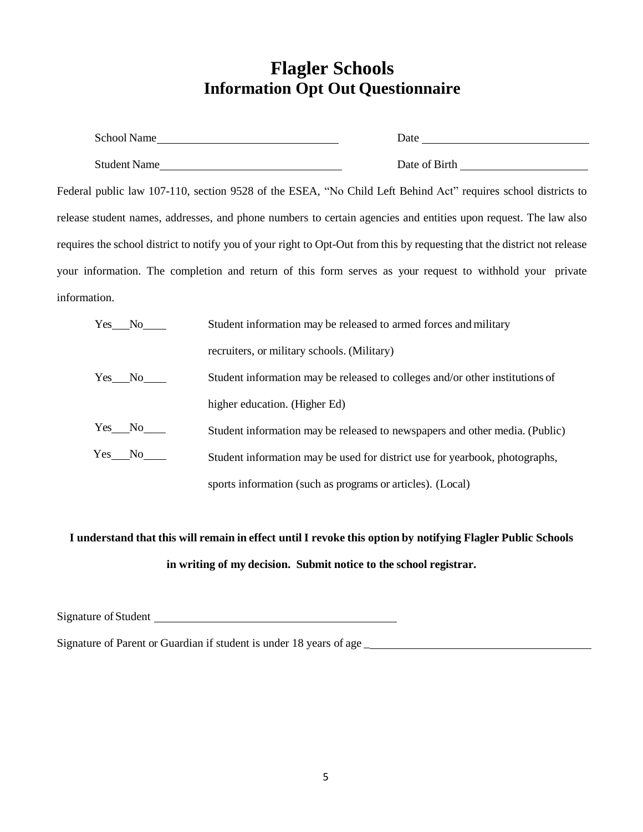## **Flagler Schools Information Opt Out Questionnaire**

| School Name                                                                                                   | Date          |
|---------------------------------------------------------------------------------------------------------------|---------------|
| Student Name                                                                                                  | Date of Birth |
| Federal public law 107-110, section 9528 of the ESEA, "No Child Left Behind Act" requires school districts to |               |

release student names, addresses, and phone numbers to certain agencies and entities upon request. The law also requires the school district to notify you of your right to Opt-Out from this by requesting that the district not release your information. The completion and return of this form serves as your request to withhold your private information.

| Yes No          | Student information may be released to armed forces and military             |
|-----------------|------------------------------------------------------------------------------|
|                 | recruiters, or military schools. (Military)                                  |
| $Yes$ No $\_\_$ | Student information may be released to colleges and/or other institutions of |
|                 | higher education. (Higher Ed)                                                |
| $Yes$ No $\_\_$ | Student information may be released to newspapers and other media. (Public)  |
| $Yes$ No $\_\_$ | Student information may be used for district use for yearbook, photographs,  |
|                 | sports information (such as programs or articles). (Local)                   |

# I understand that this will remain in effect until I revoke this option by notifying Flagler Public Schools **in writing of my decision. Submit notice to the school registrar.**

Signature of Student

Signature of Parent or Guardian if student is under 18 years of age \_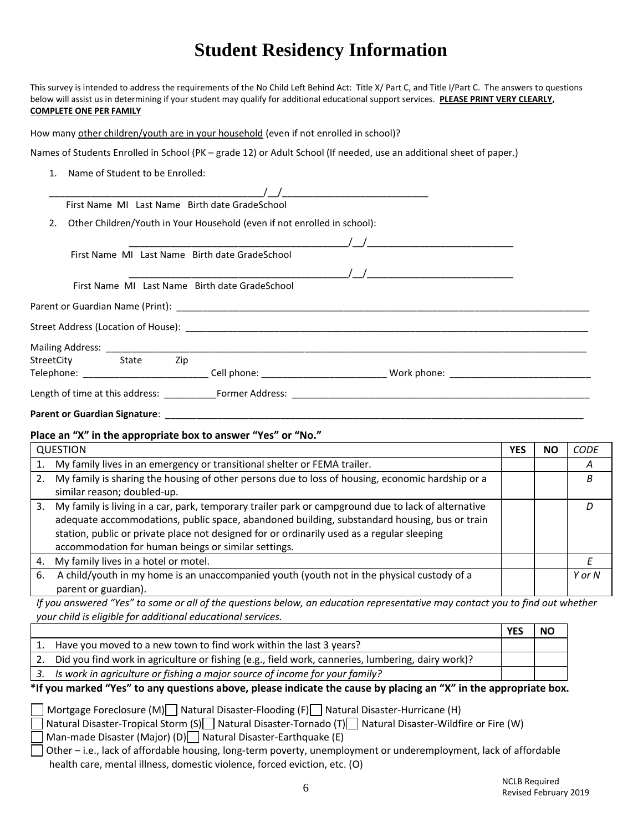# **Student Residency Information**

This survey is intended to address the requirements of the No Child Left Behind Act: Title X/ Part C, and Title I/Part C. The answers to questions below will assist us in determining if your student may qualify for additional educational support services. **PLEASE PRINT VERY CLEARLY, COMPLETE ONE PER FAMILY**

How many other children/youth are in your household (even if not enrolled in school)?

Names of Students Enrolled in School (PK – grade 12) or Adult School (If needed, use an additional sheet of paper.)

1. Name of Student to be Enrolled:

|                      | First Name MI Last Name Birth date GradeSchool                           |                                                                                                                       |  |
|----------------------|--------------------------------------------------------------------------|-----------------------------------------------------------------------------------------------------------------------|--|
| 2.                   | Other Children/Youth in Your Household (even if not enrolled in school): |                                                                                                                       |  |
|                      |                                                                          | $\sqrt{2}$                                                                                                            |  |
|                      | First Name MI Last Name Birth date GradeSchool                           |                                                                                                                       |  |
|                      |                                                                          |                                                                                                                       |  |
|                      | First Name MI Last Name Birth date GradeSchool                           |                                                                                                                       |  |
|                      |                                                                          |                                                                                                                       |  |
|                      |                                                                          |                                                                                                                       |  |
|                      |                                                                          |                                                                                                                       |  |
| StreetCity State Zip |                                                                          |                                                                                                                       |  |
|                      |                                                                          | Telephone: ________________________________Cell phone: __________________________Work phone: ________________________ |  |
|                      |                                                                          | Length of time at this address: Former Address: Example 2014 19:30 Former Address:                                    |  |
|                      |                                                                          |                                                                                                                       |  |

#### **Place an "X" in the appropriate box to answer "Yes" or "No."**

|    | <b>QUESTION</b>                                                                                                                                                                                                                                                                                                                                          | YES | NΟ | <b>CODE</b> |
|----|----------------------------------------------------------------------------------------------------------------------------------------------------------------------------------------------------------------------------------------------------------------------------------------------------------------------------------------------------------|-----|----|-------------|
| 1. | My family lives in an emergency or transitional shelter or FEMA trailer.                                                                                                                                                                                                                                                                                 |     |    | А           |
| 2. | My family is sharing the housing of other persons due to loss of housing, economic hardship or a<br>similar reason; doubled-up.                                                                                                                                                                                                                          |     |    | B           |
| 3. | My family is living in a car, park, temporary trailer park or campground due to lack of alternative<br>adequate accommodations, public space, abandoned building, substandard housing, bus or train<br>station, public or private place not designed for or ordinarily used as a regular sleeping<br>accommodation for human beings or similar settings. |     |    | D           |
| 4. | My family lives in a hotel or motel.                                                                                                                                                                                                                                                                                                                     |     |    |             |
| 6. | A child/youth in my home is an unaccompanied youth (youth not in the physical custody of a<br>parent or guardian).                                                                                                                                                                                                                                       |     |    | Y or N      |

*If you answered "Yes" to some or all of the questions below, an education representative may contact you to find out whether your child is eligible for additional educational services.* 

|                                                                                                   | YES | <b>NO</b> |
|---------------------------------------------------------------------------------------------------|-----|-----------|
| Have you moved to a new town to find work within the last 3 years?                                |     |           |
| Did you find work in agriculture or fishing (e.g., field work, canneries, lumbering, dairy work)? |     |           |
| Is work in agriculture or fishing a major source of income for your family?                       |     |           |

#### **\*If you marked "Yes" to any questions above, please indicate the cause by placing an "X" in the appropriate box.**

Mortgage Foreclosure (M) Natural Disaster-Flooding (F) Natural Disaster-Hurricane (H)

 $\lceil$  Natural Disaster-Tropical Storm (S) $\lceil\lceil$  Natural Disaster-Tornado (T) $\lceil\lceil$  Natural Disaster-Wildfire or Fire (W) Man-made Disaster (Major) (D) Natural Disaster-Earthquake (E)

Other – i.e., lack of affordable housing, long-term poverty, unemployment or underemployment, lack of affordable health care, mental illness, domestic violence, forced eviction, etc. (O)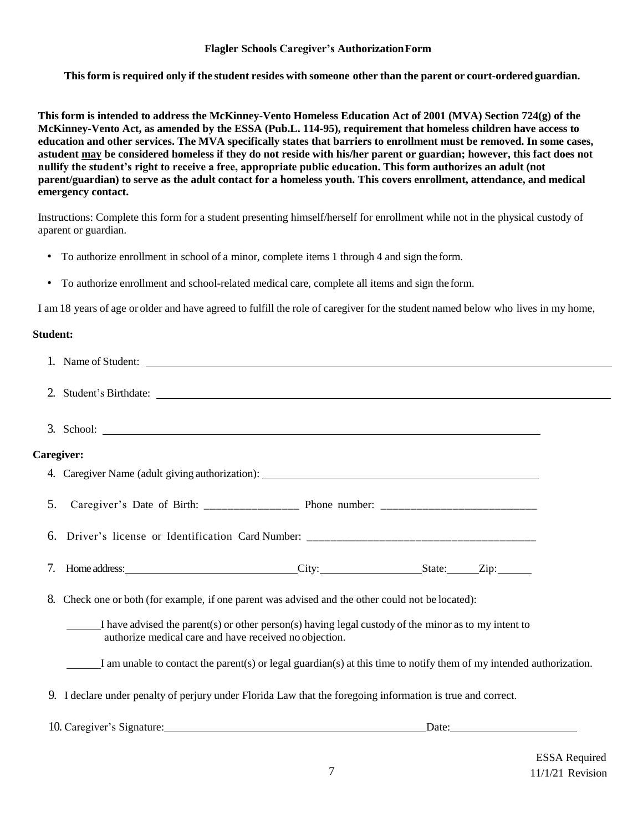#### **Flagler Schools Caregiver's AuthorizationForm**

**Thisform is required only if the student resides with someone other than the parent or court-orderedguardian.**

**This form is intended to address the McKinney-Vento Homeless Education Act of 2001 (MVA) Section 724(g) of the McKinney-Vento Act, as amended by the ESSA (Pub.L. 114-95), requirement that homeless children have access to education and other services. The MVA specifically states that barriers to enrollment must be removed. In some cases, astudent may be considered homeless if they do not reside with his/her parent or guardian; however, this fact does not nullify the student's right to receive a free, appropriate public education. This form authorizes an adult (not parent/guardian) to serve as the adult contact for a homeless youth. This covers enrollment, attendance, and medical emergency contact.**

Instructions: Complete this form for a student presenting himself/herself for enrollment while not in the physical custody of aparent or guardian.

- To authorize enrollment in school of a minor, complete items 1 through 4 and sign the form.
- To authorize enrollment and school-related medical care, complete all items and sign the form.

I am 18 years of age or older and have agreed to fulfill the role of caregiver for the student named below who lives in my home,

#### **Student:**

|            | 1. Name of Student:                                                                                                                                            |  |  |       |  |  |
|------------|----------------------------------------------------------------------------------------------------------------------------------------------------------------|--|--|-------|--|--|
|            | 2. Student's Birthdate:                                                                                                                                        |  |  |       |  |  |
|            | $3.$ School: $\overline{\phantom{a}}$                                                                                                                          |  |  |       |  |  |
| Caregiver: |                                                                                                                                                                |  |  |       |  |  |
|            |                                                                                                                                                                |  |  |       |  |  |
| 5.         |                                                                                                                                                                |  |  |       |  |  |
| 6.         | Driver's license or Identification Card Number: _________________________________                                                                              |  |  |       |  |  |
| 7.         |                                                                                                                                                                |  |  |       |  |  |
| 8.         | Check one or both (for example, if one parent was advised and the other could not be located):                                                                 |  |  |       |  |  |
|            | I have advised the parent(s) or other person(s) having legal custody of the minor as to my intent to<br>authorize medical care and have received no objection. |  |  |       |  |  |
|            | I am unable to contact the parent(s) or legal guardian(s) at this time to notify them of my intended authorization.                                            |  |  |       |  |  |
|            | 9. I declare under penalty of perjury under Florida Law that the foregoing information is true and correct.                                                    |  |  |       |  |  |
|            | 10. Caregiver's Signature:                                                                                                                                     |  |  | Date: |  |  |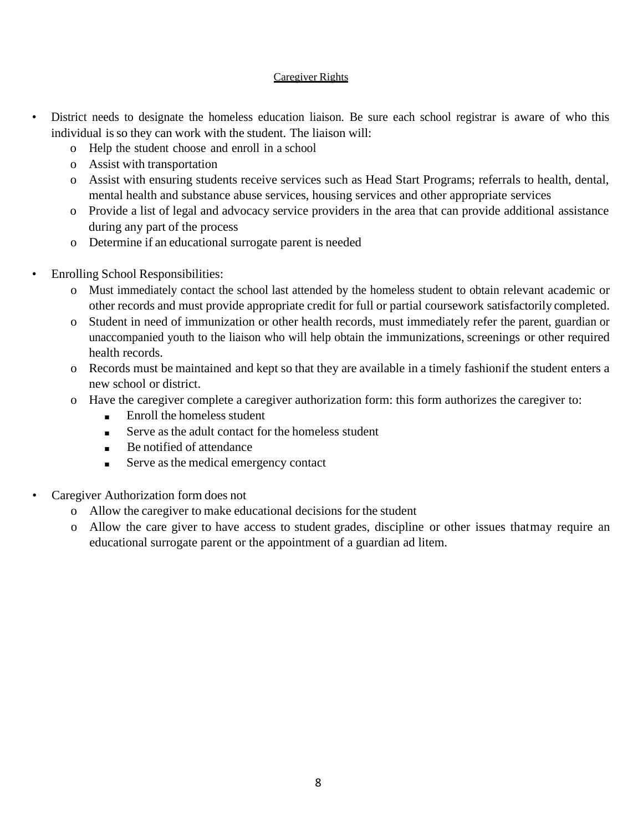#### Caregiver Rights

- District needs to designate the homeless education liaison. Be sure each school registrar is aware of who this individual is so they can work with the student. The liaison will:
	- o Help the student choose and enroll in a school
	- o Assist with transportation
	- o Assist with ensuring students receive services such as Head Start Programs; referrals to health, dental, mental health and substance abuse services, housing services and other appropriate services
	- o Provide a list of legal and advocacy service providers in the area that can provide additional assistance during any part of the process
	- o Determine if an educational surrogate parent is needed
- Enrolling School Responsibilities:
	- o Must immediately contact the school last attended by the homeless student to obtain relevant academic or other records and must provide appropriate credit for full or partial coursework satisfactorily completed.
	- o Student in need of immunization or other health records, must immediately refer the parent, guardian or unaccompanied youth to the liaison who will help obtain the immunizations, screenings or other required health records.
	- o Records must be maintained and kept so that they are available in a timely fashionif the student enters a new school or district.
	- o Have the caregiver complete a caregiver authorization form: this form authorizes the caregiver to:
		- Enroll the homeless student
		- Serve as the adult contact for the homeless student
		- Be notified of attendance
		- Serve as the medical emergency contact
- Caregiver Authorization form does not
	- o Allow the caregiver to make educational decisions for the student
	- o Allow the care giver to have access to student grades, discipline or other issues thatmay require an educational surrogate parent or the appointment of a guardian ad litem.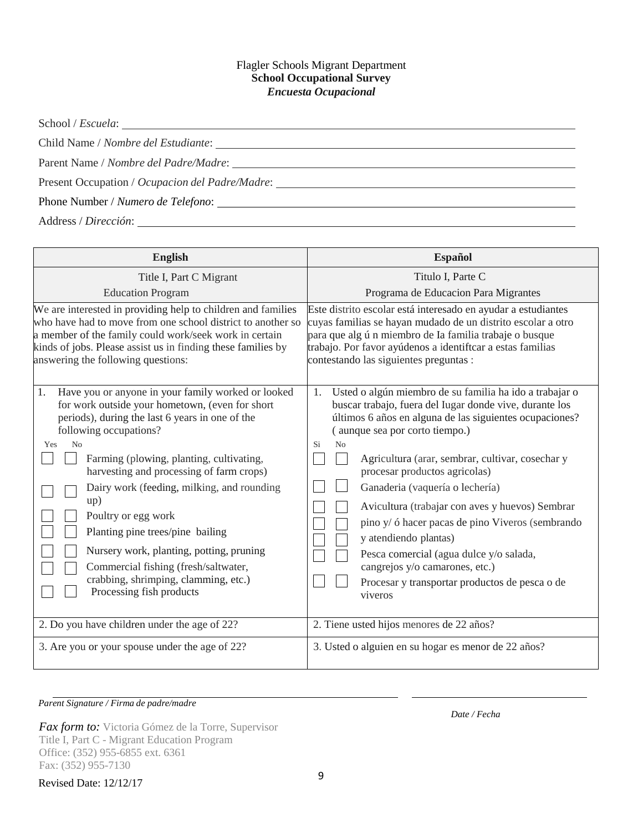#### Flagler Schools Migrant Department **School Occupational Survey** *Encuesta Ocupacional*

School / *Escuela*:

Child Name / *Nombre del Estudiante*:

Parent Name / *Nombre del Padre/Madre*:

Present Occupation / *Ocupacion del Padre/Madre*:

Phone Number / *Numero de Telefono*:

Address / *Dirección*:

| <b>English</b>                                               | <b>Español</b>                                                |  |
|--------------------------------------------------------------|---------------------------------------------------------------|--|
| Title I, Part C Migrant                                      | Titulo I, Parte C                                             |  |
| <b>Education Program</b>                                     | Programa de Educacion Para Migrantes                          |  |
| We are interested in providing help to children and families | Este distrito escolar está interesado en ayudar a estudiantes |  |
| who have had to move from one school district to another so  | cuyas familias se hayan mudado de un distrito escolar a otro  |  |
| a member of the family could work/seek work in certain       | para que algún miembro de la familia trabaje o busque         |  |
| kinds of jobs. Please assist us in finding these families by | trabajo. Por favor ayúdenos a identiftcar a estas familias    |  |
| answering the following questions:                           | contestando las siguientes preguntas :                        |  |
| Have you or anyone in your family worked or looked           | Usted o algún miembro de su familia ha ido a trabajar o       |  |
| 1.                                                           | 1.                                                            |  |
| for work outside your hometown, (even for short              | buscar trabajo, fuera del Iugar donde vive, durante los       |  |
| periods), during the last 6 years in one of the              | últimos 6 años en alguna de las siguientes ocupaciones?       |  |
| following occupations?                                       | (aunque sea por corto tiempo.)                                |  |
| N <sub>0</sub>                                               | No                                                            |  |
| Yes                                                          | Si                                                            |  |
| Farming (plowing, planting, cultivating,                     | Agricultura (arar, sembrar, cultivar, cosechar y              |  |
| harvesting and processing of farm crops)                     | procesar productos agricolas)                                 |  |
| Dairy work (feeding, milking, and rounding                   | Ganaderia (vaquería o lechería)                               |  |
| up)                                                          | Avicultura (trabajar con aves y huevos) Sembrar               |  |
| Poultry or egg work                                          | pino y/ ó hacer pacas de pino Viveros (sembrando              |  |
| Planting pine trees/pine bailing                             | y atendiendo plantas)                                         |  |
| Nursery work, planting, potting, pruning                     | Pesca comercial (agua dulce y/o salada,                       |  |
| Commercial fishing (fresh/saltwater,                         | cangrejos y/o camarones, etc.)                                |  |
| crabbing, shrimping, clamming, etc.)                         | Procesar y transportar productos de pesca o de                |  |
| Processing fish products                                     | viveros                                                       |  |
| 2. Do you have children under the age of 22?                 | 2. Tiene usted hijos menores de 22 años?                      |  |
| 3. Are you or your spouse under the age of 22?               | 3. Usted o alguien en su hogar es menor de 22 años?           |  |

*Parent Signature / Firma de padre/madre*

*Fax form to:* Victoria Gómez de la Torre, Supervisor Title I, Part C - Migrant Education Program Office: (352) 955-6855 ext. 6361 Fax: (352) 955-7130 Revised Date: 12/12/17 <sup>9</sup> *Date / Fecha*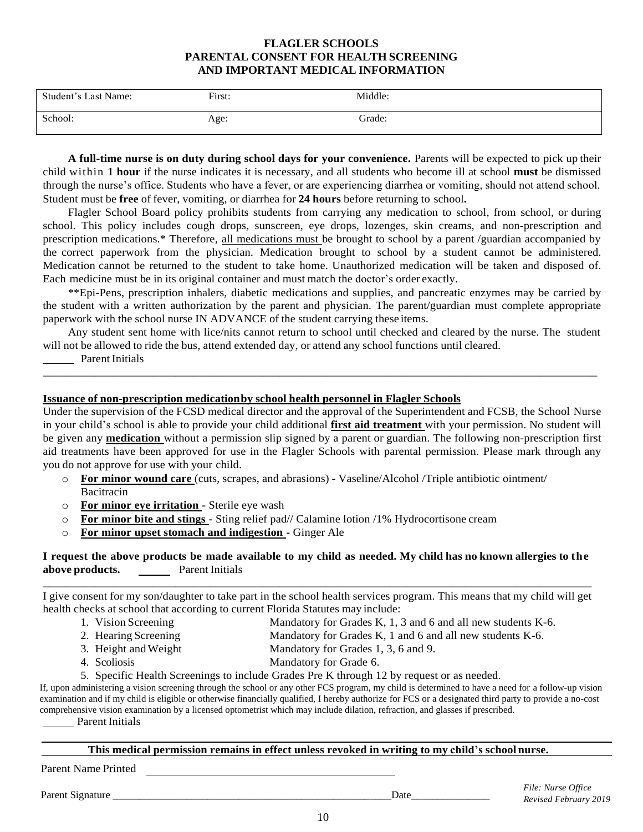#### **FLAGLER SCHOOLS PARENTAL CONSENT FOR HEALTH SCREENING AND IMPORTANT MEDICAL INFORMATION**

| Student's Last Name: | First: | Middle: |
|----------------------|--------|---------|
| School:              | Age:   | Grade:  |

**A full-time nurse is on duty during school days for your convenience.** Parents will be expected to pick up their child within **1 hour** if the nurse indicates it is necessary, and all students who become ill at school **must** be dismissed through the nurse's office. Students who have a fever, or are experiencing diarrhea or vomiting, should not attend school. Student must be **free** of fever, vomiting, or diarrhea for **24 hours** before returning to school**.**

Flagler School Board policy prohibits students from carrying any medication to school, from school, or during school. This policy includes cough drops, sunscreen, eye drops, lozenges, skin creams, and non-prescription and prescription medications.\* Therefore, all medications must be brought to school by a parent /guardian accompanied by the correct paperwork from the physician. Medication brought to school by a student cannot be administered. Medication cannot be returned to the student to take home. Unauthorized medication will be taken and disposed of. Each medicine must be in its original container and must match the doctor's order exactly.

\*\*Epi-Pens, prescription inhalers, diabetic medications and supplies, and pancreatic enzymes may be carried by the student with a written authorization by the parent and physician. The parent/guardian must complete appropriate paperwork with the school nurse IN ADVANCE of the student carrying these items.

Any student sent home with lice/nits cannot return to school until checked and cleared by the nurse. The student will not be allowed to ride the bus, attend extended day, or attend any school functions until cleared.

 Parent Initials \_\_\_\_\_\_\_\_\_\_\_\_\_\_\_\_\_\_\_\_\_\_\_\_\_\_\_\_\_\_\_\_\_\_\_\_\_\_\_\_\_\_\_\_\_\_\_\_\_\_\_\_\_\_\_\_\_\_\_\_\_\_\_\_\_\_\_\_\_\_\_\_\_\_\_\_\_\_\_\_\_\_\_\_\_\_\_\_\_\_\_\_\_\_\_\_

#### **Issuance of non-prescription medicationby school health personnel in Flagler Schools**

Under the supervision of the FCSD medical director and the approval of the Superintendent and FCSB, the School Nurse in your child's school is able to provide your child additional **first aid treatment** with your permission. No student will be given any **medication** without a permission slip signed by a parent or guardian. The following non-prescription first aid treatments have been approved for use in the Flagler Schools with parental permission. Please mark through any you do not approve for use with your child.

- o **For minor wound care** (cuts, scrapes, and abrasions) Vaseline/Alcohol /Triple antibiotic ointment/ Bacitracin
- o **For minor eye irritation -** Sterile eye wash
- o **For minor bite and stings -** Sting relief pad// Calamine lotion /1% Hydrocortisone cream
- o **For minor upset stomach and indigestion -** Ginger Ale

#### I request the above products be made available to my child as needed. My child has no known allergies to the **above products.** Parent Initials \_\_\_\_\_\_\_\_\_\_\_\_\_\_\_\_\_\_\_\_\_\_\_\_\_\_\_\_\_\_\_\_\_\_\_\_\_\_\_\_\_\_\_\_\_\_\_\_\_\_\_\_\_\_\_\_\_\_\_\_\_\_\_\_\_\_\_\_\_\_\_\_\_\_\_\_\_\_\_\_\_\_\_\_\_\_\_\_\_\_\_\_\_\_\_

I give consent for my son/daughter to take part in the school health services program. This means that my child will get health checks at school that according to current Florida Statutes may include:

- 1. Vision Screening Mandatory for Grades K, 1, 3 and 6 and all new students K-6.
- 2. Hearing Screening Mandatory for Grades K, 1 and 6 and all new students K-6.
- 3. Height andWeight Mandatory for Grades 1, 3, 6 and 9.
	- 4. Scoliosis Mandatory for Grade 6.

5. Specific Health Screenings to include Grades Pre K through 12 by request or as needed.

If, upon administering a vision screening through the school or any other FCS program, my child is determined to have a need for a follow-up vision examination and if my child is eligible or otherwise financially qualified, I hereby authorize for FCS or a designated third party to provide a no-cost comprehensive vision examination by a licensed optometrist which may include dilation, refraction, and glasses if prescribed.

Parent Initials

#### **This medical permission remains in effect unless revoked in writing to my child's school nurse.**

Parent Name Printed

Parent Signature Date  $\Box$